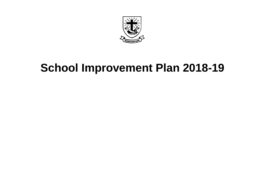

# **School Improvement Plan 2018-19**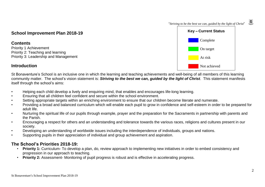

### **School Improvement Plan 2018-19**

#### **Contents**

Priority 1 Achievement Priority 2: Teaching and learning Priority 3: Leadership and Management

## **Introduction**

St Bonaventure's School is an inclusive one in which the learning and teaching achievements and well-being of all members of this learning community matter. The school's vision statement is: *Striving to the best we can, guided by the light of Christ*. This statement manifests itself through the school's aims:

- Helping each child develop a lively and enquiring mind, that enables and encourages life-long learning.
- Ensuring that all children feel confident and secure within the school environment.
- Setting appropriate targets within an enriching environment to ensure that our children become literate and numerate.
- Providing a broad and balanced curriculum which will enable each pupil to grow in confidence and self-esteem in order to be prepared for adult life.
- Nurturing the spiritual life of our pupils through example, prayer and the preparation for the Sacraments in partnership with parents and the Parish.
- Encouraging a respect for others and an understanding and tolerance towards the various races, religions and cultures present in our society.
- Developing an understanding of worldwide issues including the interdependence of individuals, groups and nations.
- Supporting pupils in their appreciation of individual and group achievement and aspiration.

### **The School's Priorities 2018-19:**

- **Priority 1:** Curriculum- To develop a plan, do, review approach to implementing new initiatives in order to embed consistency and progression in our approach to teaching.
- **Priority 2:** Assessment- Monitoring of pupil progress is robust and is effective in accelerating progress.

1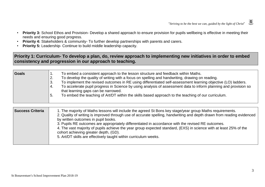- **Priority 3:** School Ethos and Provision- Develop a shared approach to ensure provision for pupils wellbeing is effective in meeting their needs and ensuring good progress.
- **Priority 4:** Stakeholders & community- To further develop partnerships with parents and carers.
- **Priority 5:** Leadership- Continue to build middle leadership capacity.

## Priority 1: Curriculum- To develop a plan, do, review approach to implementing new initiatives in order to embed **consistency and progression in our approach to teaching.**

| Goals | To embed a consistent approach to the lesson structure and feedback within Maths.                                                                             |
|-------|---------------------------------------------------------------------------------------------------------------------------------------------------------------|
|       | To develop the quality of writing with a focus on spelling and handwriting, drawing on reading.<br>2.                                                         |
|       | To implement the revised outcomes in RE using differentiated self-assessment learning objective (LO) ladders.<br>3.                                           |
|       | To accelerate pupil progress in Science by using analysis of assessment data to inform planning and provision so<br>4.<br>that learning gaps can be narrowed. |
|       | To embed the teaching of Art/DT within the skills based approach to the teaching of our curriculum.<br>. ა                                                    |

| <b>Success Criteria</b> | 1. The majority of Maths lessons will include the agreed St Bons key stage/year group Maths requirements.<br>2. Quality of writing is improved through use of accurate spelling, handwriting and depth drawn from reading evidenced<br>by written outcomes in pupil books. |
|-------------------------|----------------------------------------------------------------------------------------------------------------------------------------------------------------------------------------------------------------------------------------------------------------------------|
|                         | 3. Pupils RE outcomes are appropriately differentiated in accordance with the revised RE outcomes.<br>4. The vast majority of pupils achieve the year group expected standard, (EXS) in science with at least 25% of the<br>cohort achieving greater depth, (GD).          |
|                         | 5. Art/DT skills are effectively taught within curriculum weeks.                                                                                                                                                                                                           |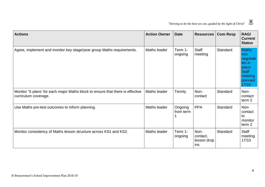

| <b>Actions</b>                                                                                         | <b>Action Owner</b> | <b>Date</b>          | <b>Resources</b>                       | <b>Com Resp</b> | RAG/<br><b>Current</b><br><b>Status</b>                                                            |
|--------------------------------------------------------------------------------------------------------|---------------------|----------------------|----------------------------------------|-----------------|----------------------------------------------------------------------------------------------------|
| Agree, implement and monitor key stage/year group Maths requirements.                                  | Maths leader        | Term 1-<br>ongoing   | <b>Staff</b><br>meeting                | Standard        | <b>Maths</b><br>non<br>negotiab<br>les in<br>place.<br><b>Staff</b><br>meeting<br>planned<br>17/10 |
| Monitor 'S plans' for each major Maths block to ensure that there is effective<br>curriculum coverage. | Maths leader        | Termly               | Non-<br>contact                        | Standard        | Non-<br>contact<br>term <sub>2</sub>                                                               |
| Use Maths pre-test outcomes to inform planning.                                                        | Maths leader        | Ongoing<br>from term | <b>PPA</b>                             | Standard        | Non-<br>contact<br>to<br>monitor<br>term <sub>2</sub>                                              |
| Monitor consistency of Maths lesson structure across KS1 and KS2.                                      | Maths leader        | Term 1-<br>ongoing   | Non-<br>contact,<br>lesson drop<br>ins | Standard        | <b>Staff</b><br>meeting<br>17/10                                                                   |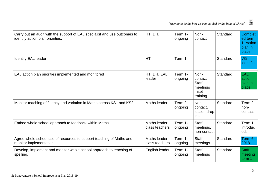

| Carry out an audit with the support of EAL specialist and use outcomes to<br>identify action plan priorities. | HT, DH.                         | Term 1-<br>ongoing | Non-<br>contact                                                  | Standard | Complet<br>ed term<br>1. Action<br>plan in<br>place. |
|---------------------------------------------------------------------------------------------------------------|---------------------------------|--------------------|------------------------------------------------------------------|----------|------------------------------------------------------|
| <b>Identify EAL leader</b>                                                                                    | <b>HT</b>                       | Term 1             |                                                                  | Standard | <b>VG</b><br>identified                              |
| EAL action plan priorities implemented and monitored                                                          | HT, DH, EAL<br>leader           | Term 1-<br>ongoing | Non-<br>contact<br><b>Staff</b><br>meetings<br>Inset<br>training | Standard | <b>EAL</b><br>action<br>plan in<br>place.            |
| Monitor teaching of fluency and variation in Maths across KS1 and KS2.                                        | Maths leader                    | Term 2-<br>ongoing | Non-<br>contact,<br>lesson drop<br>ins                           | Standard | Term 2<br>non-<br>contact                            |
| Embed whole school approach to feedback within Maths.                                                         | Maths leader,<br>class teachers | Term 1-<br>ongoing | <b>Staff</b><br>meetings,<br>non-contact                         | Standard | Term 1<br>introduc<br>ed.                            |
| Agree whole school use of resources to support teaching of Maths and<br>monitor implementation.               | Maths leader,<br>class teachers | Term 1-<br>ongoing | <b>Staff</b><br>meetings                                         | Standard | Term 6<br>2018                                       |
| Develop, implement and monitor whole school approach to teaching of<br>spelling.                              | English leader                  | Term 1-<br>ongoing | <b>Staff</b><br>meetings                                         | Standard | <b>Staff</b><br>meeting<br>term 1                    |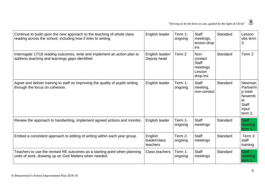| Continue to build upon the new approach to the teaching of whole class<br>reading across the school, including how it links to writing. | English leader                      | Term 1-<br>ongoing | <b>Staff</b><br>meetings,<br>lesson drop<br>ins                   | Standard | Lesson<br>obs term<br>3.                                                                  |
|-----------------------------------------------------------------------------------------------------------------------------------------|-------------------------------------|--------------------|-------------------------------------------------------------------|----------|-------------------------------------------------------------------------------------------|
| Interrogate 17/18 reading outcomes, write and implement an action plan to<br>address teaching and learnings gaps identified.            | English leader/<br>Deputy head      | Term 2             | Non-<br>contact<br><b>Staff</b><br>meetings<br>Lesson<br>drop-ins | Standard | Term 2                                                                                    |
| Agree and deliver training to staff on improving the quality of pupils writing<br>through the focus on cohesion.                        | English leader                      | Term 1-<br>ongoing | <b>Staff</b><br>meeting,<br>non-contact                           | Standard | <b>Newman</b><br>Partnerhi<br>p inset<br>Novemb<br>er<br><b>Staff</b><br>input<br>term 2. |
| Review the approach to handwriting, implement agreed actions and monitor.                                                               | English leader                      | Term 1-<br>ongoing | <b>Staff</b><br>meetings                                          | Standard | <b>Staff</b><br>meeting<br>term 1                                                         |
| Embed a consistent approach to editing of writing within each year group.                                                               | English<br>leader/class<br>teachers | Term 2-<br>ongoing | <b>Staff</b><br>meetings                                          | Standard | Term <sub>3</sub><br>staff<br>training.                                                   |
| Teachers to use the revised RE outcomes as a starting point when planning<br>units of work, drawing up on God Matters when needed.      | <b>Class teachers</b>               | Term 1-<br>ongoing | <b>Staff</b><br>meetings                                          | Standard | <b>Staff</b><br>meeting<br>term 1.                                                        |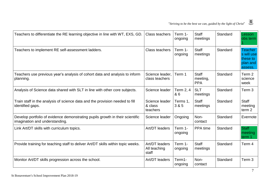| Teachers to differentiate the RE learning objective in line with WT, EXS, GD.                                   | <b>Class teachers</b>                   | Term 1-<br>ongoing | <b>Staff</b><br>meetings               | Standard | Lesson<br>obs term                                              |
|-----------------------------------------------------------------------------------------------------------------|-----------------------------------------|--------------------|----------------------------------------|----------|-----------------------------------------------------------------|
| Teachers to implement RE self-assessment ladders.                                                               | <b>Class teachers</b>                   | Term 1-<br>ongoing | <b>Staff</b><br>meetings               | Standard | <b>Teacher</b><br>s will use<br>these to<br>plan and<br>assess. |
| Teachers use previous year's analysis of cohort data and analysis to inform<br>planning.                        | Science leader,<br>class teachers       | Term 1             | <b>Staff</b><br>meeting,<br><b>PPA</b> | Standard | Term 2<br>science<br>week                                       |
| Analysis of Science data shared with SLT in line with other core subjects.                                      | Science leader                          | Term 2, 4<br>& 6   | <b>SLT</b><br>meetings                 | Standard | Term 3                                                          |
| Train staff in the analysis of science data and the provision needed to fill<br>identified gaps.                | Science leader<br>& class<br>teachers   | Terms 1,<br>3 & 5  | <b>Staff</b><br>meetings               | Standard | <b>Staff</b><br>meeting<br>term <sub>2</sub>                    |
| Develop portfolio of evidence demonstrating pupils growth in their scientific<br>imagination and understanding. | Science leader                          | Ongoing            | Non-<br>contact                        | Standard | Evernote                                                        |
| Link Art/DT skills with curriculum topics.                                                                      | Art/DT leaders                          | Term 1-<br>ongoing | PPA time                               | Standard | <b>Staff</b><br>meeting<br>term 1                               |
| Provide training for teaching staff to deliver Art/DT skills within topic weeks.                                | Art/DT leaders<br>All teaching<br>staff | Term 1-<br>ongoing | <b>Staff</b><br>meetings               | Standard | Term 4                                                          |
| Monitor Art/DT skills progression across the school.                                                            | Art/DT leaders                          | Term1-<br>ongoing  | Non-<br>contact                        | Standard | Term <sub>3</sub>                                               |

 $\sim$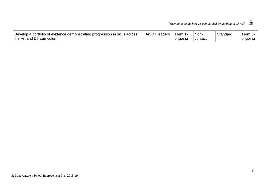| Develop a portfolio of evidence demonstrating progression in skills across | $Art/D^{\top}$<br>leaders | <b>Lerm</b><br>. | Non-    | Standard | erm 3     |
|----------------------------------------------------------------------------|---------------------------|------------------|---------|----------|-----------|
| the Art and DT curriculum.                                                 |                           | ongoing          | contact |          | , ongoing |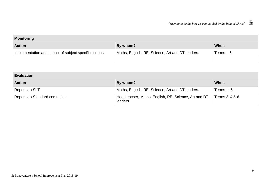| Monitoring                                             |                                                  |             |  |  |  |  |
|--------------------------------------------------------|--------------------------------------------------|-------------|--|--|--|--|
| <b>Action</b>                                          | By whom?                                         | <b>When</b> |  |  |  |  |
| Implementation and impact of subject specific actions. | Maths, English, RE, Science, Art and DT leaders. | Terms 1-5.  |  |  |  |  |
|                                                        |                                                  |             |  |  |  |  |

| Evaluation                    |                                                                  |                |  |  |  |  |
|-------------------------------|------------------------------------------------------------------|----------------|--|--|--|--|
| <b>Action</b>                 | By whom?                                                         | When           |  |  |  |  |
| Reports to SLT                | Maths, English, RE, Science, Art and DT leaders.                 | Terms 1-5      |  |  |  |  |
| Reports to Standard committee | Headteacher, Maths, English, RE, Science, Art and DT<br>leaders. | Terms 2, 4 & 6 |  |  |  |  |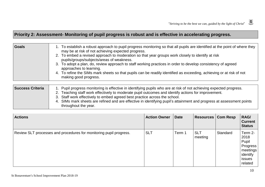## **Priority 2: Assessment- Monitoring of pupil progress is robust and is effective in accelerating progress.**

| Goals | 1. To establish a robust approach to pupil progress monitoring so that all pupils are identified at the point of where they<br>may be at risk of not achieving expected progress.<br>2. To embed a revised approach to moderation so that year groups work closely to identify at risk |
|-------|----------------------------------------------------------------------------------------------------------------------------------------------------------------------------------------------------------------------------------------------------------------------------------------|
|       | pupils/groups/subjects/areas of weakness.<br>3. To adopt a plan, do, review approach to staff working practices in order to develop consistency of agreed                                                                                                                              |
|       | approaches to learning.<br>4. To refine the SIMs mark sheets so that pupils can be readily identified as exceeding, achieving or at risk of not<br>making good progress.                                                                                                               |

| <b>Success Criteria</b> | 1. Pupil progress monitoring is effective in identifying pupils who are at risk of not achieving expected progress.<br>2. Teaching staff work effectively to moderate pupil outcomes and identify actions for improvement. |
|-------------------------|----------------------------------------------------------------------------------------------------------------------------------------------------------------------------------------------------------------------------|
|                         | 3. Staff work effectively to embed agreed best practice across the school.                                                                                                                                                 |
|                         | 4. SIMs mark sheets are refined and are effective in identifying pupil's attainment and progress at assessment points<br>throughout the year.                                                                              |

| <b>Actions</b>                                                     | <b>Action Owner</b> | <b>Date</b> | <b>Resources   Com Resp</b> |          | RAG/<br><b>Current</b><br><b>Status</b>                                                    |
|--------------------------------------------------------------------|---------------------|-------------|-----------------------------|----------|--------------------------------------------------------------------------------------------|
| Review SLT processes and procedures for monitoring pupil progress. | <b>SLT</b>          | Term 1      | <b>SLT</b><br>meeting       | Standard | Term 2-<br>2018<br>Pupil<br><b>Progress</b><br>meetings<br>identify<br>  issues<br>related |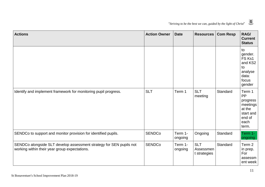|                                                                 | O. |
|-----------------------------------------------------------------|----|
| "Striving to be the best we can, guided by the light of Christ" |    |

| <b>Actions</b>                                                                                                       | <b>Action Owner</b> | <b>Date</b>        | <b>Resources</b>                        | <b>Com Resp</b> | RAG/<br><b>Current</b><br><b>Status</b>                                                |
|----------------------------------------------------------------------------------------------------------------------|---------------------|--------------------|-----------------------------------------|-----------------|----------------------------------------------------------------------------------------|
|                                                                                                                      |                     |                    |                                         |                 | to<br>gender.<br>FS Ks1<br>and KS2<br>to<br>analyse<br>data:<br>focus<br>gender        |
| Identify and implement framework for monitoring pupil progress.                                                      | <b>SLT</b>          | Term 1             | <b>SLT</b><br>meeting                   | Standard        | Term 1<br>PP<br>progress<br>meetings<br>at the<br>start and<br>end of<br>each<br>term. |
| SENDCo to support and monitor provision for identified pupils.                                                       | <b>SENDCo</b>       | Term 1-<br>ongoing | Ongoing                                 | Standard        | Term 1-<br>ongoing                                                                     |
| SENDCo alongside SLT develop assessment strategy for SEN pupils not<br>working within their year group expectations. | <b>SENDCo</b>       | Term 1-<br>ongoing | <b>SLT</b><br>Assessmen<br>t strategies | Standard        | Term 2<br>in prep.<br>For<br>assessm<br>ent week                                       |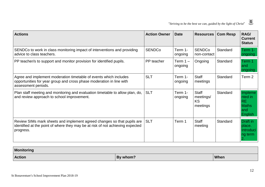

| <b>Actions</b>                                                                                                                                                         | <b>Action Owner</b> | <b>Date</b>           | <b>Resources</b>                                   | <b>Com Resp</b> | RAG/<br><b>Current</b><br><b>Status</b>                           |
|------------------------------------------------------------------------------------------------------------------------------------------------------------------------|---------------------|-----------------------|----------------------------------------------------|-----------------|-------------------------------------------------------------------|
| SENDCo to work in class monitoring impact of interventions and providing<br>advice to class teachers.                                                                  | <b>SENDCo</b>       | Term 1-<br>ongoing    | <b>SENDCo</b><br>non-contact                       | Standard        | Term 1-<br>ongoing                                                |
| PP teacher/s to support and monitor provision for identified pupils.                                                                                                   | PP teacher          | Term $1 -$<br>ongoing | Ongoing                                            | Standard        | Term 1<br>and<br>ongoing                                          |
| Agree and implement moderation timetable of events which includes<br>opportunities for year group and cross phase moderation in line with<br>assessment periods.       | <b>SLT</b>          | Term 1-<br>ongoing    | <b>Staff</b><br>meetings                           | Standard        | Term 2                                                            |
| Plan staff meeting and monitoring and evaluation timetable to allow plan, do,<br>and review approach to school improvement.                                            | <b>SLT</b>          | Term 1-<br>ongoing    | <b>Staff</b><br>meetings/<br><b>KS</b><br>meetings | Standard        | Impleme<br>nted in<br><b>RE</b><br><b>Maths</b><br>and<br>English |
| Review SIMs mark sheets and implement agreed changes so that pupils are<br>identified at the point of where they may be at risk of not achieving expected<br>progress. | <b>SLT</b>          | Term 1                | <b>Staff</b><br>meeting                            | Standard        | <b>Draft</b> in<br>place.<br>Introduci<br>ng term                 |

| Monitoring    |          |             |
|---------------|----------|-------------|
| <b>Action</b> | By whom? | <b>When</b> |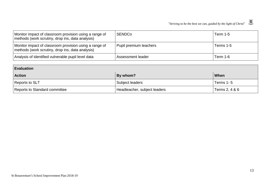| Monitor impact of classroom provision using a range of<br>methods (work scrutiny, drop ins, data analysis) | <b>SENDCo</b>          | Term 1-5  |
|------------------------------------------------------------------------------------------------------------|------------------------|-----------|
| Monitor impact of classroom provision using a range of<br>methods (work scrutiny, drop ins, data analysis) | Pupil premium teachers | Terms 1-5 |
| Analysis of identified vulnerable pupil level data                                                         | Assessment leader      | Term 1-6  |

| <b>Evaluation</b>             |                              |                |  |  |
|-------------------------------|------------------------------|----------------|--|--|
| <b>Action</b>                 | $ $ By whom?                 | ∣ When         |  |  |
| Reports to SLT                | Subject leaders              | Terms 1-5      |  |  |
| Reports to Standard committee | Headteacher, subject leaders | Terms 2, 4 & 6 |  |  |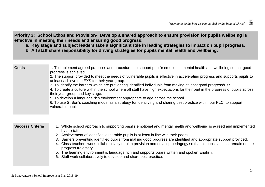Priority 3: School Ethos and Provision- Develop a shared approach to ensure provision for pupils wellbeing is **effective in meeting their needs and ensuring good progress:**

a. Key stage and subject leaders take a significant role in leading strategies to impact on pupil progress.

**b. All staff share responsibility for driving strategies for pupils mental health and wellbeing.**

| <b>Goals</b> | 1. To implement agreed practices and procedures to support pupil's emotional, mental health and wellbeing so that good<br>progress is achieved.                                                                                                                                       |
|--------------|---------------------------------------------------------------------------------------------------------------------------------------------------------------------------------------------------------------------------------------------------------------------------------------|
|              | 2. The support provided to meet the needs of vulnerable pupils is effective in accelerating progress and supports pupils to<br>at least achieve the EXS for their year group.                                                                                                         |
|              | 3. To identify the barriers which are preventing identified individuals from making at least good progress/EXS.<br>4. To create a culture within the school where all staff have high expectations for their part in the progress of pupils across<br>their year group and key stage. |
|              | 5. To develop a language rich environment appropriate to age across the school.<br>6. To use St Bon's coaching model as a strategy for identifying and sharing best practice within our PLC, to support<br>vulnerable pupils.                                                         |
|              |                                                                                                                                                                                                                                                                                       |

| <b>Success Criteria</b> | 1. Whole school approach to supporting pupil's emotional and mental health and wellbeing is agreed and implemented<br>by all staff.               |
|-------------------------|---------------------------------------------------------------------------------------------------------------------------------------------------|
|                         | 2. Achievement of identified vulnerable pupils is at least in line with their peers.                                                              |
|                         | 3. Barriers preventing identified pupils from making good progress are identified and appropriate support provided.                               |
|                         | 4. Class teachers work collaboratively to plan provision and develop pedagogy so that all pupils at least remain on their<br>progress trajectory. |
|                         | 5. The learning environment is language rich and supports pupils written and spoken English.                                                      |
|                         | 6. Staff work collaboratively to develop and share best practice.                                                                                 |
|                         |                                                                                                                                                   |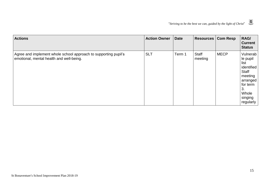

| <b>Actions</b>                                                                                              | <b>Action Owner</b> | <b>Date</b> | <b>Resources   Com Resp</b> |             | RAG/<br><b>Current</b><br><b>Status</b>                                                                                       |
|-------------------------------------------------------------------------------------------------------------|---------------------|-------------|-----------------------------|-------------|-------------------------------------------------------------------------------------------------------------------------------|
| Agree and implement whole school approach to supporting pupil's<br>emotional, mental health and well-being. | <b>SLT</b>          | Term 1      | <b>Staff</b><br>meeting     | <b>MECP</b> | Vulnerab<br>le pupil<br>list<br>identified<br>Staff<br>meeting<br>arranged<br>for term<br>3.<br>Whole<br>singing<br>regularly |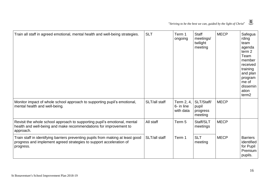

| Train all staff in agreed emotional, mental health and well-being strategies.                                                                                       | <b>SLT</b>    | Term 1<br>ongoing                     | <b>Staff</b><br>meetings/<br>twilight<br>meeting | <b>MECP</b> | Safegua<br>rding<br>team<br>agenda<br>term <sub>2</sub><br>Team<br>member<br>received<br>training<br>and plan<br>program<br>me of<br>dissemin<br>ation<br>term <sub>2</sub> |
|---------------------------------------------------------------------------------------------------------------------------------------------------------------------|---------------|---------------------------------------|--------------------------------------------------|-------------|-----------------------------------------------------------------------------------------------------------------------------------------------------------------------------|
| Monitor impact of whole school approach to supporting pupil's emotional,<br>mental health and well-being.                                                           | SLT/all staff | Term 2, 4,<br>6- in line<br>with data | SLT/Staff/<br>pupil<br>progress<br>meeting       | <b>MECP</b> |                                                                                                                                                                             |
| Revisit the whole school approach to supporting pupil's emotional, mental<br>health and well-being and make recommendations for improvement to<br>approach.         | All staff     | Term 5                                | Staff/SLT<br>meetings                            | <b>MECP</b> |                                                                                                                                                                             |
| Train staff in identifying barriers preventing pupils from making at least good<br>progress and implement agreed strategies to support acceleration of<br>progress. | SLT/all staff | Term 1                                | <b>SLT</b><br>meeting                            | <b>MECP</b> | <b>Barriers</b><br>identified<br>for Pupil<br>Premium<br>pupils.                                                                                                            |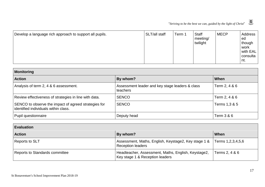| Develop a language rich approach to support all pupils. | SLT/all staff | Term 1 | <b>Staff</b><br>meeting/<br>twilight | <b>MECP</b> | Address<br>ed<br>though<br>l work<br>with EAL<br>consulta<br>nt. |
|---------------------------------------------------------|---------------|--------|--------------------------------------|-------------|------------------------------------------------------------------|
|---------------------------------------------------------|---------------|--------|--------------------------------------|-------------|------------------------------------------------------------------|

| <b>Monitoring</b>                                                                            |                                                             |               |  |  |
|----------------------------------------------------------------------------------------------|-------------------------------------------------------------|---------------|--|--|
| <b>Action</b>                                                                                | By whom?                                                    | ∣ When        |  |  |
| Analysis of term 2, 4 & 6 assessment.                                                        | Assessment leader and key stage leaders & class<br>teachers | Term 2, 4 & 6 |  |  |
| Review effectiveness of strategies in line with data.                                        | <b>SENCO</b>                                                | Term 2, 4 & 6 |  |  |
| SENCO to observe the impact of agreed strategies for<br>identified individuals within class. | <b>SENCO</b>                                                | Terms 1,3 & 5 |  |  |
| Pupil questionnaire                                                                          | Deputy head                                                 | Term 3 & 6    |  |  |

| <b>Evaluation</b>              |                                                                                                    |                |  |  |
|--------------------------------|----------------------------------------------------------------------------------------------------|----------------|--|--|
| <b>Action</b>                  | By whom?                                                                                           | ∣ When         |  |  |
| Reports to SLT                 | Assessment, Maths, English, Keystage2, Key stage 1 & Terms 1,2,3,4,5,6<br><b>Reception leaders</b> |                |  |  |
| Reports to Standards committee | Headteacher, Assessment, Maths, English, Keystage2,<br>Key stage 1 & Reception leaders             | Terms 2, 4 & 6 |  |  |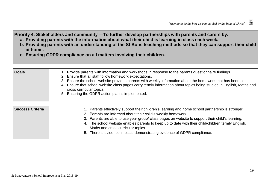**Priority 4: Stakeholders and community —To further develop partnerships with parents and carers by:**

- **a. Providing parents with the information about what their child is learning in class each week.**
- b. Providing parents with an understanding of the St Bons teaching methods so that they can support their child **at home.**
- **c. Ensuring GDPR compliance on all matters involving their children.**

| <b>Goals</b> | 1. Provide parents with information and workshops in response to the parents questionnaire findings<br>2. Ensure that all staff follow homework expectations.<br>3. Ensure the school website provides parents with weekly information about the homework that has been set.<br>4. Ensure that school website class pages carry termly information about topics being studied in English, Maths and<br>cross curricular topics.<br>5. Ensuring the GDPR action plan is implemented. |
|--------------|-------------------------------------------------------------------------------------------------------------------------------------------------------------------------------------------------------------------------------------------------------------------------------------------------------------------------------------------------------------------------------------------------------------------------------------------------------------------------------------|
|              |                                                                                                                                                                                                                                                                                                                                                                                                                                                                                     |

| <b>Success Criteria</b><br>1. Parents effectively support their children's learning and home school partnership is stronger.<br>2. Parents are informed about their child's weekly homework.<br>3. Parents are able to use year group/ class pages on website to support their child's learning.<br>4. The school website enables parents to keep up to date with their child/children termly English,<br>Maths and cross curricular topics.<br>5. There is evidence in place demonstrating evidence of GDPR compliance. |  |
|--------------------------------------------------------------------------------------------------------------------------------------------------------------------------------------------------------------------------------------------------------------------------------------------------------------------------------------------------------------------------------------------------------------------------------------------------------------------------------------------------------------------------|--|
|--------------------------------------------------------------------------------------------------------------------------------------------------------------------------------------------------------------------------------------------------------------------------------------------------------------------------------------------------------------------------------------------------------------------------------------------------------------------------------------------------------------------------|--|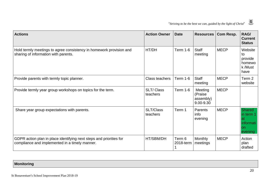| <b>Actions</b>                                                                                                        | <b>Action Owner</b>          | <b>Date</b>         | <b>Resources</b>                             | Com Resp.   | RAG/<br><b>Current</b><br><b>Status</b>                         |
|-----------------------------------------------------------------------------------------------------------------------|------------------------------|---------------------|----------------------------------------------|-------------|-----------------------------------------------------------------|
| Hold termly meetings to agree consistency in homework provision and<br>sharing of information with parents.           | HT/DH                        | <b>Term 1-6</b>     | <b>Staff</b><br>meeting                      | <b>MECP</b> | Website<br>to<br>provide<br>homewo<br>k /Must<br>have           |
| Provide parents with termly topic planner.                                                                            | <b>Class teachers</b>        | <b>Term 1-6</b>     | <b>Staff</b><br>meeting                      | <b>MECP</b> | Term 2<br>website                                               |
| Provide termly year group workshops on topics for the term.                                                           | <b>SLT/Class</b><br>teachers | <b>Term 1-6</b>     | Meeting<br>(Praise<br>assembly)<br>9.00-9.30 | <b>MECP</b> |                                                                 |
| Share year group expectations with parents.                                                                           | SLT/Class<br>teachers        | Term 1              | Parents<br>info<br>evening                   | <b>MECP</b> | <b>Shared</b><br>in term 1<br>'at<br>informati<br>on<br>evening |
| GDPR action plan in place identifying next steps and priorities for<br>compliance and implemented in a timely manner. | HT/SBM/DH                    | Term 6<br>2018-term | <b>Monthly</b><br>meetings                   | <b>MECP</b> | Action<br>plan<br>drafted                                       |

|  | <b>Monitoring</b> |  |
|--|-------------------|--|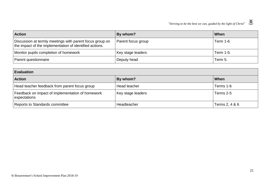| <b>Action</b>                                                                                                       | By whom?                  | ∣ When    |
|---------------------------------------------------------------------------------------------------------------------|---------------------------|-----------|
| Discussion at termly meetings with parent focus group on<br>the impact of the implementation of identified actions. | <b>Parent focus group</b> | Term 1-6  |
| Monitor pupils completion of homework                                                                               | Key stage leaders         | Term 1-5. |
| Parent questionnaire                                                                                                | Deputy head               | Term 5.   |

| <b>Evaluation</b>                                                |                   |                |  |  |
|------------------------------------------------------------------|-------------------|----------------|--|--|
| <b>Action</b>                                                    | By whom?          | l When         |  |  |
| Head teacher feedback from parent focus group                    | Head teacher      | Terms 1-6      |  |  |
| Feedback on impact of implementation of homework<br>expectations | Key stage leaders | Terms 2-5      |  |  |
| Reports to Standards committee                                   | Headteacher       | Terms 2, 4 & 6 |  |  |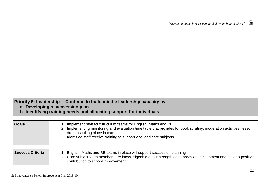- **a. Developing a succession plan**
- **b. Identifying training needs and allocating support for individuals**

| Goals            | 1. Implement revised curriculum teams for English, Maths and RE.<br>2. Implementing monitoring and evaluation time table that provides for book scrutiny, moderation activities, lesson<br>drop-ins taking place in teams.<br>3. Identified staff receive training to support and lead core subjects |
|------------------|------------------------------------------------------------------------------------------------------------------------------------------------------------------------------------------------------------------------------------------------------------------------------------------------------|
| Success Criteria | 1. English, Maths and RE teams in place will support succession planning<br>2. Core subject team members are knowledgeable about strengths and areas of development and make a positive<br>contribution to school improvement.                                                                       |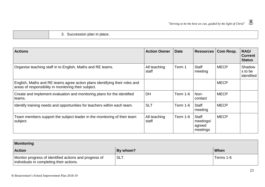3. Succession plan in place.

| <b>Actions</b>                                                                                                                     | <b>Action Owner</b>   | <b>Date</b>     | <b>Resources</b>                                | Com Resp.   | RAG/<br><b>Current</b><br><b>Status</b> |
|------------------------------------------------------------------------------------------------------------------------------------|-----------------------|-----------------|-------------------------------------------------|-------------|-----------------------------------------|
| Organise teaching staff in to English, Maths and RE teams.                                                                         | All teaching<br>staff | Term 1          | <b>Staff</b><br>meeting                         | <b>MECP</b> | Shadow<br>s to be<br>identified         |
| English, Maths and RE teams agree action plans identifying their roles and<br>areas of responsibility in monitoring their subject. |                       |                 |                                                 | <b>MECP</b> |                                         |
| Create and implement evaluation and monitoring plans for the identified<br>teams.                                                  | <b>DH</b>             | <b>Term 1-6</b> | Non-<br>contact                                 | <b>MECP</b> |                                         |
| Identify training needs and opportunities for teachers within each team.                                                           | <b>SLT</b>            | <b>Term 1-6</b> | <b>Staff</b><br>meeting                         | <b>MECP</b> |                                         |
| Team members support the subject leader in the monitoring of their team<br>subject.                                                | All teaching<br>staff | <b>Term 1-6</b> | <b>Staff</b><br>meetings/<br>agreed<br>meetings | <b>MECP</b> |                                         |

| Monitoring                                                                                         |          |           |  |  |
|----------------------------------------------------------------------------------------------------|----------|-----------|--|--|
| <b>Action</b>                                                                                      | By whom? | When      |  |  |
| Monitor progress of identified actions and progress of<br>individuals in completing their actions. | SLT.     | Terms 1-6 |  |  |